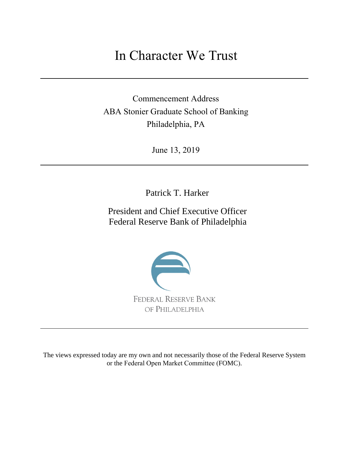## In Character We Trust

Commencement Address ABA Stonier Graduate School of Banking Philadelphia, PA

June 13, 2019

Patrick T. Harker

President and Chief Executive Officer Federal Reserve Bank of Philadelphia



The views expressed today are my own and not necessarily those of the Federal Reserve System or the Federal Open Market Committee (FOMC).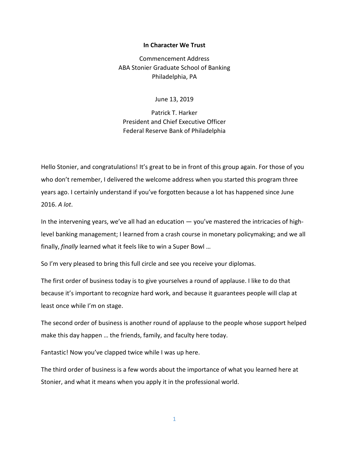## **In Character We Trust**

Commencement Address ABA Stonier Graduate School of Banking Philadelphia, PA

June 13, 2019

Patrick T. Harker President and Chief Executive Officer Federal Reserve Bank of Philadelphia

Hello Stonier, and congratulations! It's great to be in front of this group again. For those of you who don't remember, I delivered the welcome address when you started this program three years ago. I certainly understand if you've forgotten because a lot has happened since June 2016. *A lot*.

In the intervening years, we've all had an education — you've mastered the intricacies of highlevel banking management; I learned from a crash course in monetary policymaking; and we all finally, *finally* learned what it feels like to win a Super Bowl …

So I'm very pleased to bring this full circle and see you receive your diplomas.

The first order of business today is to give yourselves a round of applause. I like to do that because it's important to recognize hard work, and because it guarantees people will clap at least once while I'm on stage.

The second order of business is another round of applause to the people whose support helped make this day happen … the friends, family, and faculty here today.

Fantastic! Now you've clapped twice while I was up here.

The third order of business is a few words about the importance of what you learned here at Stonier, and what it means when you apply it in the professional world.

1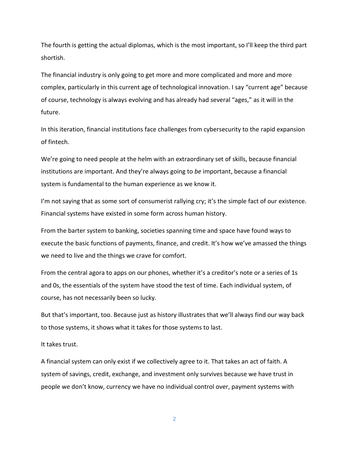The fourth is getting the actual diplomas, which is the most important, so I'll keep the third part shortish.

The financial industry is only going to get more and more complicated and more and more complex, particularly in this current age of technological innovation. I say "current age" because of course, technology is always evolving and has already had several "ages," as it will in the future.

In this iteration, financial institutions face challenges from cybersecurity to the rapid expansion of fintech.

We're going to need people at the helm with an extraordinary set of skills, because financial institutions are important. And they're always going to *be* important, because a financial system is fundamental to the human experience as we know it.

I'm not saying that as some sort of consumerist rallying cry; it's the simple fact of our existence. Financial systems have existed in some form across human history.

From the barter system to banking, societies spanning time and space have found ways to execute the basic functions of payments, finance, and credit. It's how we've amassed the things we need to live and the things we crave for comfort.

From the central agora to apps on our phones, whether it's a creditor's note or a series of 1s and 0s, the essentials of the system have stood the test of time. Each individual system, of course, has not necessarily been so lucky.

But that's important, too. Because just as history illustrates that we'll always find our way back to those systems, it shows what it takes for those systems to last.

It takes trust.

A financial system can only exist if we collectively agree to it. That takes an act of faith. A system of savings, credit, exchange, and investment only survives because we have trust in people we don't know, currency we have no individual control over, payment systems with

2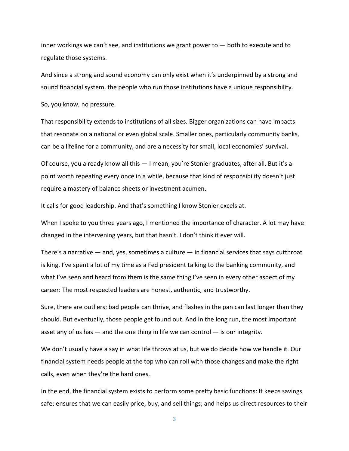inner workings we can't see, and institutions we grant power to — both to execute and to regulate those systems.

And since a strong and sound economy can only exist when it's underpinned by a strong and sound financial system, the people who run those institutions have a unique responsibility.

So, you know, no pressure.

That responsibility extends to institutions of all sizes. Bigger organizations can have impacts that resonate on a national or even global scale. Smaller ones, particularly community banks, can be a lifeline for a community, and are a necessity for small, local economies' survival.

Of course, you already know all this — I mean, you're Stonier graduates, after all. But it's a point worth repeating every once in a while, because that kind of responsibility doesn't just require a mastery of balance sheets or investment acumen.

It calls for good leadership. And that's something I know Stonier excels at.

When I spoke to you three years ago, I mentioned the importance of character. A lot may have changed in the intervening years, but that hasn't. I don't think it ever will.

There's a narrative  $-$  and, yes, sometimes a culture  $-$  in financial services that says cutthroat is king. I've spent a lot of my time as a Fed president talking to the banking community, and what I've seen and heard from them is the same thing I've seen in every other aspect of my career: The most respected leaders are honest, authentic, and trustworthy.

Sure, there are outliers; bad people can thrive, and flashes in the pan can last longer than they should. But eventually, those people get found out. And in the long run, the most important asset any of us has  $-$  and the one thing in life we can control  $-$  is our integrity.

We don't usually have a say in what life throws at us, but we do decide how we handle it. Our financial system needs people at the top who can roll with those changes and make the right calls, even when they're the hard ones.

In the end, the financial system exists to perform some pretty basic functions: It keeps savings safe; ensures that we can easily price, buy, and sell things; and helps us direct resources to their

3